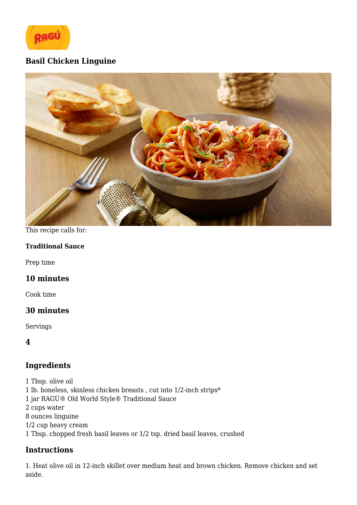

# **Basil Chicken Linguine**



#### This recipe calls for:

#### **Traditional Sauce**

Prep time

## **10 minutes**

Cook time

## **30 minutes**

Servings

**4**

# **Ingredients**

1 Tbsp. olive oil  $1$ lb. boneless, skinless chicken breasts , cut into  $1/2$  inch strips $^\ast$ 1 jar RAGÚ® Old World Style® Traditional Sauce 2 cups water 8 ounces linguine 1/2 cup heavy cream 1 Tbsp. chopped fresh basil leaves or 1/2 tsp. dried basil leaves, crushed

## **Instructions**

1. Heat olive oil in 12-inch skillet over medium heat and brown chicken. Remove chicken and set aside.